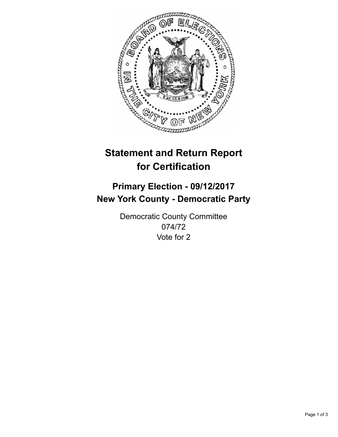

## **Statement and Return Report for Certification**

## **Primary Election - 09/12/2017 New York County - Democratic Party**

Democratic County Committee 074/72 Vote for 2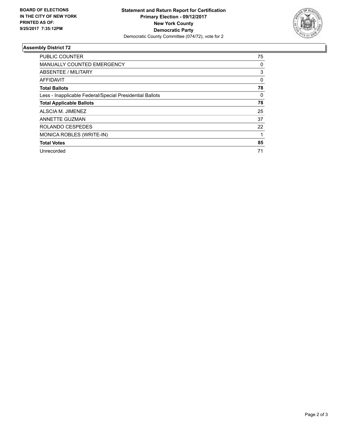

## **Assembly District 72**

| <b>PUBLIC COUNTER</b>                                    | 75 |
|----------------------------------------------------------|----|
| <b>MANUALLY COUNTED EMERGENCY</b>                        | 0  |
| ABSENTEE / MILITARY                                      | 3  |
| AFFIDAVIT                                                | 0  |
| <b>Total Ballots</b>                                     | 78 |
| Less - Inapplicable Federal/Special Presidential Ballots | 0  |
| <b>Total Applicable Ballots</b>                          | 78 |
| ALSCIA M. JIMENEZ                                        | 25 |
| ANNETTE GUZMAN                                           | 37 |
| ROLANDO CESPEDES                                         | 22 |
| MONICA ROBLES (WRITE-IN)                                 |    |
| <b>Total Votes</b>                                       | 85 |
| Unrecorded                                               | 71 |